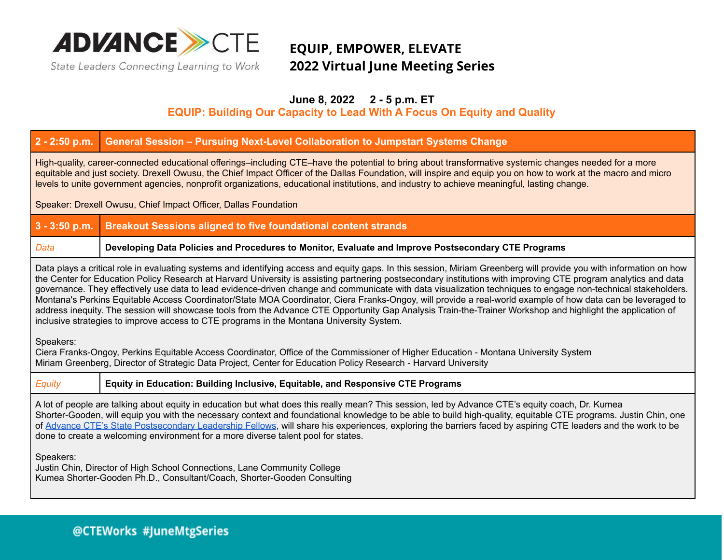

### **EQUIP, EMPOWER, ELEVATE 2022 Virtual June Meeting Series**

### **June 8, 2022 2 - 5 p.m. ET**

### **EQUIP: Building Our Capacity to Lead With A Focus On Equity and Quality**

### **2 - 2:50 p.m. General Session – Pursuing Next-Level Collaboration to Jumpstart Systems Change**

High-quality, career-connected educational offerings–including CTE–have the potential to bring about transformative systemic changes needed for a more equitable and just society. Drexell Owusu, the Chief Impact Officer of the Dallas Foundation, will inspire and equip you on how to work at the macro and micro levels to unite government agencies, nonprofit organizations, educational institutions, and industry to achieve meaningful, lasting change.

Speaker: Drexell Owusu, Chief Impact Officer, Dallas Foundation

### **3 - 3:50 p.m. Breakout Sessions aligned to five foundational content strands**

#### *Data* **Developing Data Policies and Procedures to Monitor, Evaluate and Improve Postsecondary CTE Programs**

Data plays a critical role in evaluating systems and identifying access and equity gaps. In this session, Miriam Greenberg will provide you with information on how the Center for Education Policy Research at Harvard University is assisting partnering postsecondary institutions with improving CTE program analytics and data governance. They effectively use data to lead evidence-driven change and communicate with data visualization techniques to engage non-technical stakeholders. Montana's Perkins Equitable Access Coordinator/State MOA Coordinator, Ciera Franks-Ongoy, will provide a real-world example of how data can be leveraged to address inequity. The session will showcase tools from the Advance CTE Opportunity Gap Analysis Train-the-Trainer Workshop and highlight the application of inclusive strategies to improve access to CTE programs in the Montana University System.

Speakers:

Ciera Franks-Ongoy, Perkins Equitable Access Coordinator, Office of the Commissioner of Higher Education - Montana University System Miriam Greenberg, Director of Strategic Data Project, Center for Education Policy Research - Harvard University

#### *Equity* **Equity in Education: Building Inclusive, Equitable, and Responsive CTE Programs**

A lot of people are talking about equity in education but what does this really mean? This session, led by Advance CTE's equity coach, Dr. Kumea Shorter-Gooden, will equip you with the necessary context and foundational knowledge to be able to build high-quality, equitable CTE programs. Justin Chin, one of Advance CTE's State [Postsecondary](https://careertech.org/PSCTEFellows) Leadership Fellows, will share his experiences, exploring the barriers faced by aspiring CTE leaders and the work to be done to create a welcoming environment for a more diverse talent pool for states.

Speakers:

Justin Chin, Director of High School Connections, Lane Community College Kumea Shorter-Gooden Ph.D., Consultant/Coach, Shorter-Gooden Consulting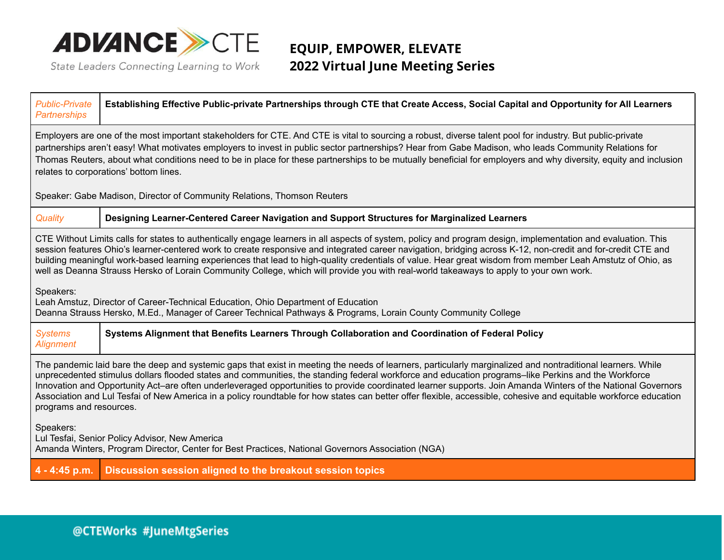

### **EQUIP, EMPOWER, ELEVATE 2022 Virtual June Meeting Series**

| <b>Public-Private</b><br><b>Partnerships</b>                                                                                                                                                                                                                                                                                                                                                                                                                                                                                                                                                                                                                                                                                                                                                                                                              | Establishing Effective Public-private Partnerships through CTE that Create Access, Social Capital and Opportunity for All Learners |  |
|-----------------------------------------------------------------------------------------------------------------------------------------------------------------------------------------------------------------------------------------------------------------------------------------------------------------------------------------------------------------------------------------------------------------------------------------------------------------------------------------------------------------------------------------------------------------------------------------------------------------------------------------------------------------------------------------------------------------------------------------------------------------------------------------------------------------------------------------------------------|------------------------------------------------------------------------------------------------------------------------------------|--|
| Employers are one of the most important stakeholders for CTE. And CTE is vital to sourcing a robust, diverse talent pool for industry. But public-private<br>partnerships aren't easy! What motivates employers to invest in public sector partnerships? Hear from Gabe Madison, who leads Community Relations for<br>Thomas Reuters, about what conditions need to be in place for these partnerships to be mutually beneficial for employers and why diversity, equity and inclusion<br>relates to corporations' bottom lines.                                                                                                                                                                                                                                                                                                                          |                                                                                                                                    |  |
| Speaker: Gabe Madison, Director of Community Relations, Thomson Reuters                                                                                                                                                                                                                                                                                                                                                                                                                                                                                                                                                                                                                                                                                                                                                                                   |                                                                                                                                    |  |
| Quality                                                                                                                                                                                                                                                                                                                                                                                                                                                                                                                                                                                                                                                                                                                                                                                                                                                   | Designing Learner-Centered Career Navigation and Support Structures for Marginalized Learners                                      |  |
| CTE Without Limits calls for states to authentically engage learners in all aspects of system, policy and program design, implementation and evaluation. This<br>session features Ohio's learner-centered work to create responsive and integrated career navigation, bridging across K-12, non-credit and for-credit CTE and<br>building meaningful work-based learning experiences that lead to high-quality credentials of value. Hear great wisdom from member Leah Amstutz of Ohio, as<br>well as Deanna Strauss Hersko of Lorain Community College, which will provide you with real-world takeaways to apply to your own work.<br>Speakers:<br>Leah Amstuz, Director of Career-Technical Education, Ohio Department of Education<br>Deanna Strauss Hersko, M.Ed., Manager of Career Technical Pathways & Programs, Lorain County Community College |                                                                                                                                    |  |
| <b>Systems</b><br><b>Alignment</b>                                                                                                                                                                                                                                                                                                                                                                                                                                                                                                                                                                                                                                                                                                                                                                                                                        | Systems Alignment that Benefits Learners Through Collaboration and Coordination of Federal Policy                                  |  |
| The pandemic laid bare the deep and systemic gaps that exist in meeting the needs of learners, particularly marginalized and nontraditional learners. While<br>unprecedented stimulus dollars flooded states and communities, the standing federal workforce and education programs–like Perkins and the Workforce<br>Innovation and Opportunity Act-are often underleveraged opportunities to provide coordinated learner supports. Join Amanda Winters of the National Governors<br>Association and Lul Tesfai of New America in a policy roundtable for how states can better offer flexible, accessible, cohesive and equitable workforce education<br>programs and resources.                                                                                                                                                                        |                                                                                                                                    |  |
| Speakers:<br>Lul Tesfai, Senior Policy Advisor, New America<br>Amanda Winters, Program Director, Center for Best Practices, National Governors Association (NGA)                                                                                                                                                                                                                                                                                                                                                                                                                                                                                                                                                                                                                                                                                          |                                                                                                                                    |  |
|                                                                                                                                                                                                                                                                                                                                                                                                                                                                                                                                                                                                                                                                                                                                                                                                                                                           | 4 - 4:45 p.m. Discussion session aligned to the breakout session topics                                                            |  |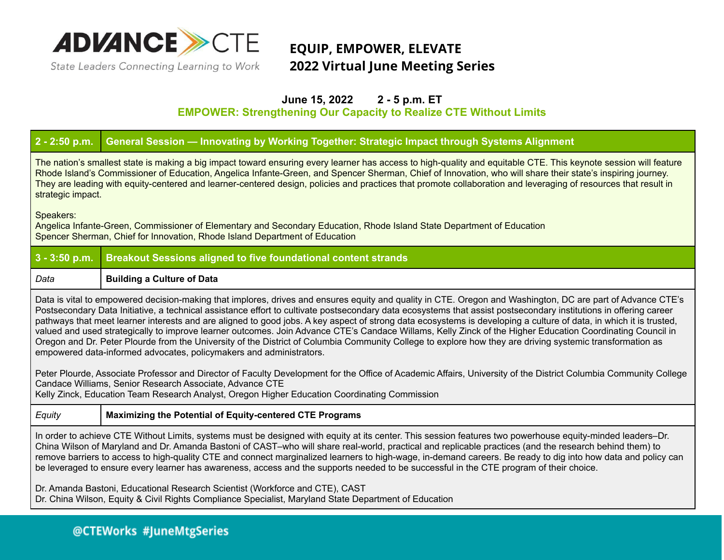

### **EQUIP, EMPOWER, ELEVATE 2022 Virtual June Meeting Series**

### **June 15, 2022 2 - 5 p.m. ET**

**EMPOWER: Strengthening Our Capacity to Realize CTE Without Limits**

### **2 - 2:50 p.m. General Session — Innovating by Working Together: Strategic Impact through Systems Alignment**

The nation's smallest state is making a big impact toward ensuring every learner has access to high-quality and equitable CTE. This keynote session will feature Rhode Island's Commissioner of Education, Angelica Infante-Green, and Spencer Sherman, Chief of Innovation, who will share their state's inspiring journey. They are leading with equity-centered and learner-centered design, policies and practices that promote collaboration and leveraging of resources that result in strategic impact.

Speakers:

Angelica Infante-Green, Commissioner of Elementary and Secondary Education, Rhode Island State Department of Education Spencer Sherman, Chief for Innovation, Rhode Island Department of Education

| $3 - 3:50$ p.m.                                                                                                                                                                                                                                                                                                                                                                                                                                                                                                                                                                                                                                                                                                                                                                                                                                                                                                                                                                                                                                                                                                                          | <b>Breakout Sessions aligned to five foundational content strands</b> |  |
|------------------------------------------------------------------------------------------------------------------------------------------------------------------------------------------------------------------------------------------------------------------------------------------------------------------------------------------------------------------------------------------------------------------------------------------------------------------------------------------------------------------------------------------------------------------------------------------------------------------------------------------------------------------------------------------------------------------------------------------------------------------------------------------------------------------------------------------------------------------------------------------------------------------------------------------------------------------------------------------------------------------------------------------------------------------------------------------------------------------------------------------|-----------------------------------------------------------------------|--|
| Data                                                                                                                                                                                                                                                                                                                                                                                                                                                                                                                                                                                                                                                                                                                                                                                                                                                                                                                                                                                                                                                                                                                                     | <b>Building a Culture of Data</b>                                     |  |
| Data is vital to empowered decision-making that implores, drives and ensures equity and quality in CTE. Oregon and Washington, DC are part of Advance CTE's<br>Postsecondary Data Initiative, a technical assistance effort to cultivate postsecondary data ecosystems that assist postsecondary institutions in offering career<br>pathways that meet learner interests and are aligned to good jobs. A key aspect of strong data ecosystems is developing a culture of data, in which it is trusted,<br>valued and used strategically to improve learner outcomes. Join Advance CTE's Candace Willams, Kelly Zinck of the Higher Education Coordinating Council in<br>Oregon and Dr. Peter Plourde from the University of the District of Columbia Community College to explore how they are driving systemic transformation as<br>empowered data-informed advocates, policymakers and administrators.<br>Peter Plourde, Associate Professor and Director of Faculty Development for the Office of Academic Affairs, University of the District Columbia Community College<br>Candace Williams, Senior Research Associate, Advance CTE |                                                                       |  |
| Kelly Zinck, Education Team Research Analyst, Oregon Higher Education Coordinating Commission                                                                                                                                                                                                                                                                                                                                                                                                                                                                                                                                                                                                                                                                                                                                                                                                                                                                                                                                                                                                                                            |                                                                       |  |
| Equity                                                                                                                                                                                                                                                                                                                                                                                                                                                                                                                                                                                                                                                                                                                                                                                                                                                                                                                                                                                                                                                                                                                                   | <b>Maximizing the Potential of Equity-centered CTE Programs</b>       |  |
| In order to achieve CTE Without Limits, systems must be designed with equity at its center. This session features two powerhouse equity-minded leaders-Dr.<br>China Wilson of Maryland and Dr. Amanda Bastoni of CAST-who will share real-world, practical and replicable practices (and the research behind them) to<br>remove barriers to access to high-quality CTE and connect marginalized learners to high-wage, in-demand careers. Be ready to dig into how data and policy can<br>be leveraged to ensure every learner has awareness, access and the supports needed to be successful in the CTE program of their choice.<br>Dr. Amanda Bastoni, Educational Research Scientist (Workforce and CTE), CAST<br>Dr. China Wilson, Equity & Civil Rights Compliance Specialist, Maryland State Department of Education                                                                                                                                                                                                                                                                                                               |                                                                       |  |
|                                                                                                                                                                                                                                                                                                                                                                                                                                                                                                                                                                                                                                                                                                                                                                                                                                                                                                                                                                                                                                                                                                                                          |                                                                       |  |

### @CTEWorks #JuneMtgSeries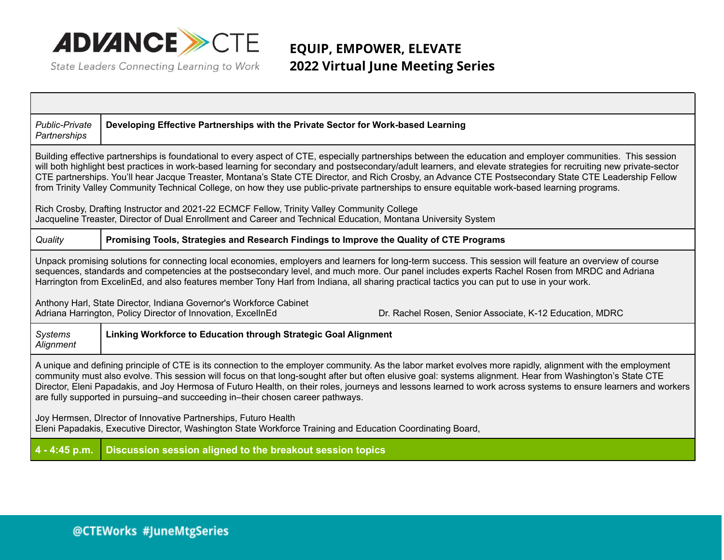

### **EQUIP, EMPOWER, ELEVATE 2022 Virtual June Meeting Series**

| <b>Public-Private</b><br>Partnerships                                                                                                                                                                                                                                                                                                                                                                                                                                                                                                                                                                                                          | Developing Effective Partnerships with the Private Sector for Work-based Learning        |  |
|------------------------------------------------------------------------------------------------------------------------------------------------------------------------------------------------------------------------------------------------------------------------------------------------------------------------------------------------------------------------------------------------------------------------------------------------------------------------------------------------------------------------------------------------------------------------------------------------------------------------------------------------|------------------------------------------------------------------------------------------|--|
| Building effective partnerships is foundational to every aspect of CTE, especially partnerships between the education and employer communities. This session<br>will both highlight best practices in work-based learning for secondary and postsecondary/adult learners, and elevate strategies for recruiting new private-sector<br>CTE partnerships. You'll hear Jacque Treaster, Montana's State CTE Director, and Rich Crosby, an Advance CTE Postsecondary State CTE Leadership Fellow<br>from Trinity Valley Community Technical College, on how they use public-private partnerships to ensure equitable work-based learning programs. |                                                                                          |  |
| Rich Crosby, Drafting Instructor and 2021-22 ECMCF Fellow, Trinity Valley Community College<br>Jacqueline Treaster, Director of Dual Enrollment and Career and Technical Education, Montana University System                                                                                                                                                                                                                                                                                                                                                                                                                                  |                                                                                          |  |
| Quality                                                                                                                                                                                                                                                                                                                                                                                                                                                                                                                                                                                                                                        | Promising Tools, Strategies and Research Findings to Improve the Quality of CTE Programs |  |
| Unpack promising solutions for connecting local economies, employers and learners for long-term success. This session will feature an overview of course<br>sequences, standards and competencies at the postsecondary level, and much more. Our panel includes experts Rachel Rosen from MRDC and Adriana<br>Harrington from ExcelinEd, and also features member Tony Harl from Indiana, all sharing practical tactics you can put to use in your work.                                                                                                                                                                                       |                                                                                          |  |
| Anthony Harl, State Director, Indiana Governor's Workforce Cabinet<br>Adriana Harrington, Policy Director of Innovation, ExcellnEd<br>Dr. Rachel Rosen, Senior Associate, K-12 Education, MDRC                                                                                                                                                                                                                                                                                                                                                                                                                                                 |                                                                                          |  |
| <b>Systems</b><br>Alignment                                                                                                                                                                                                                                                                                                                                                                                                                                                                                                                                                                                                                    | Linking Workforce to Education through Strategic Goal Alignment                          |  |
| A unique and defining principle of CTE is its connection to the employer community. As the labor market evolves more rapidly, alignment with the employment<br>community must also evolve. This session will focus on that long-sought after but often elusive goal: systems alignment. Hear from Washington's State CTE<br>Director, Eleni Papadakis, and Joy Hermosa of Futuro Health, on their roles, journeys and lessons learned to work across systems to ensure learners and workers<br>are fully supported in pursuing–and succeeding in–their chosen career pathways.                                                                 |                                                                                          |  |
| Joy Hermsen, Director of Innovative Partnerships, Futuro Health<br>Eleni Papadakis, Executive Director, Washington State Workforce Training and Education Coordinating Board,                                                                                                                                                                                                                                                                                                                                                                                                                                                                  |                                                                                          |  |
| 4 - 4:45 p.m.                                                                                                                                                                                                                                                                                                                                                                                                                                                                                                                                                                                                                                  | Discussion session aligned to the breakout session topics                                |  |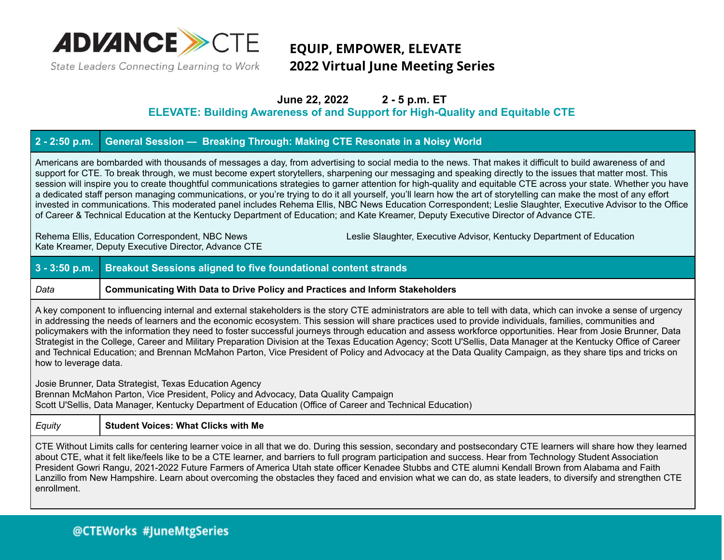

## **EQUIP, EMPOWER, ELEVATE 2022 Virtual June Meeting Series**

### **June 22, 2022 2 - 5 p.m. ET**

**ELEVATE: Building Awareness of and Support for High-Quality and Equitable CTE**

### **2 - 2:50 p.m. General Session — Breaking Through: Making CTE Resonate in a Noisy World**

Americans are bombarded with thousands of messages a day, from advertising to social media to the news. That makes it difficult to build awareness of and support for CTE. To break through, we must become expert storytellers, sharpening our messaging and speaking directly to the issues that matter most. This session will inspire you to create thoughtful communications strategies to garner attention for high-quality and equitable CTE across your state. Whether you have a dedicated staff person managing communications, or you're trying to do it all yourself, you'll learn how the art of storytelling can make the most of any effort invested in communications. This moderated panel includes Rehema Ellis, NBC News Education Correspondent; Leslie Slaughter, Executive Advisor to the Office of Career & Technical Education at the Kentucky Department of Education; and Kate Kreamer, Deputy Executive Director of Advance CTE.

Kate Kreamer, Deputy Executive Director, Advance CTE

Rehema Ellis, Education Correspondent, NBC News Leslie Slaughter, Executive Advisor, Kentucky Department of Education

# **3 - 3:50 p.m. Breakout Sessions aligned to five foundational content strands**

#### *Data* **Communicating With Data to Drive Policy and Practices and Inform Stakeholders**

A key component to influencing internal and external stakeholders is the story CTE administrators are able to tell with data, which can invoke a sense of urgency in addressing the needs of learners and the economic ecosystem. This session will share practices used to provide individuals, families, communities and policymakers with the information they need to foster successful journeys through education and assess workforce opportunities. Hear from Josie Brunner, Data Strategist in the College, Career and Military Preparation Division at the Texas Education Agency; Scott U'Sellis, Data Manager at the Kentucky Office of Career and Technical Education; and Brennan McMahon Parton, Vice President of Policy and Advocacy at the Data Quality Campaign, as they share tips and tricks on how to leverage data.

Josie Brunner, Data Strategist, Texas Education Agency

Brennan McMahon Parton, Vice President, Policy and Advocacy, Data Quality Campaign

Scott U'Sellis, Data Manager, Kentucky Department of Education (Office of Career and Technical Education)

#### *Equity* **Student Voices: What Clicks with Me**

CTE Without Limits calls for centering learner voice in all that we do. During this session, secondary and postsecondary CTE learners will share how they learned about CTE, what it felt like/feels like to be a CTE learner, and barriers to full program participation and success. Hear from Technology Student Association President Gowri Rangu, 2021-2022 Future Farmers of America Utah state officer Kenadee Stubbs and CTE alumni Kendall Brown from Alabama and Faith Lanzillo from New Hampshire. Learn about overcoming the obstacles they faced and envision what we can do, as state leaders, to diversify and strengthen CTE enrollment.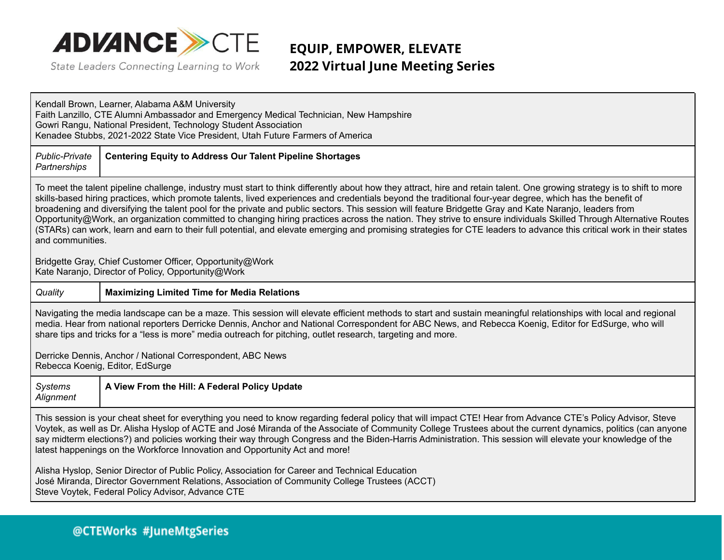

## **EQUIP, EMPOWER, ELEVATE 2022 Virtual June Meeting Series**

Kendall Brown, Learner, Alabama A&M University Faith Lanzillo, CTE Alumni Ambassador and Emergency Medical Technician, New Hampshire Gowri Rangu, National President, Technology Student Association Kenadee Stubbs, 2021-2022 State Vice President, Utah Future Farmers of America

#### *Public-Private* **Centering Equity to Address Our Talent Pipeline Shortages**

*Partnerships*

To meet the talent pipeline challenge, industry must start to think differently about how they attract, hire and retain talent. One growing strategy is to shift to more skills-based hiring practices, which promote talents, lived experiences and credentials beyond the traditional four-year degree, which has the benefit of broadening and diversifying the talent pool for the private and public sectors. This session will feature Bridgette Gray and Kate Naranjo, leaders from Opportunity@Work, an organization committed to changing hiring practices across the nation. They strive to ensure individuals Skilled Through Alternative Routes (STARs) can work, learn and earn to their full potential, and elevate emerging and promising strategies for CTE leaders to advance this critical work in their states and communities.

Bridgette Gray, Chief Customer Officer, Opportunity@Work Kate Naranjo, Director of Policy, Opportunity@Work

#### *Quality* **Maximizing Limited Time for Media Relations**

Navigating the media landscape can be a maze. This session will elevate efficient methods to start and sustain meaningful relationships with local and regional media. Hear from national reporters Derricke Dennis, Anchor and National Correspondent for ABC News, and Rebecca Koenig, Editor for EdSurge, who will share tips and tricks for a "less is more" media outreach for pitching, outlet research, targeting and more.

Derricke Dennis, Anchor / National Correspondent, ABC News Rebecca Koenig, Editor, EdSurge

| <b>Systems</b> | <b>N</b> View From the Hill: A Federal Policy Update |
|----------------|------------------------------------------------------|
| Alignment      |                                                      |

This session is your cheat sheet for everything you need to know regarding federal policy that will impact CTE! Hear from Advance CTE's Policy Advisor, Steve Voytek, as well as Dr. Alisha Hyslop of ACTE and José Miranda of the Associate of Community College Trustees about the current dynamics, politics (can anyone say midterm elections?) and policies working their way through Congress and the Biden-Harris Administration. This session will elevate your knowledge of the latest happenings on the Workforce Innovation and Opportunity Act and more!

Alisha Hyslop, Senior Director of Public Policy, Association for Career and Technical Education José Miranda, Director Government Relations, Association of Community College Trustees (ACCT) Steve Voytek, Federal Policy Advisor, Advance CTE